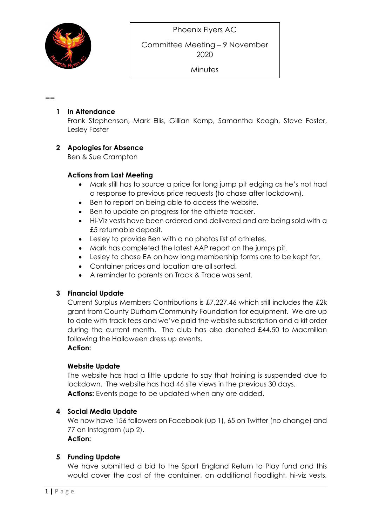

--

Committee Meeting – 9 November 2020

**Minutes** 

#### 1 In Attendance

Frank Stephenson, Mark Ellis, Gillian Kemp, Samantha Keogh, Steve Foster, Lesley Foster

#### 2 Apologies for Absence

Ben & Sue Crampton

#### Actions from Last Meeting

- Mark still has to source a price for long jump pit edging as he's not had a response to previous price requests (to chase after lockdown).
- Ben to report on being able to access the website.
- Ben to update on progress for the athlete tracker.
- Hi-Viz vests have been ordered and delivered and are being sold with a £5 returnable deposit.
- Lesley to provide Ben with a no photos list of athletes.
- Mark has completed the latest AAP report on the jumps pit.
- Lesley to chase EA on how long membership forms are to be kept for.
- Container prices and location are all sorted.
- A reminder to parents on Track & Trace was sent.

# 3 Financial Update

Current Surplus Members Contributions is £7,227.46 which still includes the £2k grant from County Durham Community Foundation for equipment. We are up to date with track fees and we've paid the website subscription and a kit order during the current month. The club has also donated £44.50 to Macmillan following the Halloween dress up events. Action:

#### Website Update

The website has had a little update to say that training is suspended due to lockdown. The website has had 46 site views in the previous 30 days. Actions: Events page to be updated when any are added.

# 4 Social Media Update

We now have 156 followers on Facebook (up 1), 65 on Twitter (no change) and 77 on Instagram (up 2). Action:

# 5 Funding Update

We have submitted a bid to the Sport England Return to Play fund and this would cover the cost of the container, an additional floodlight, hi-viz vests,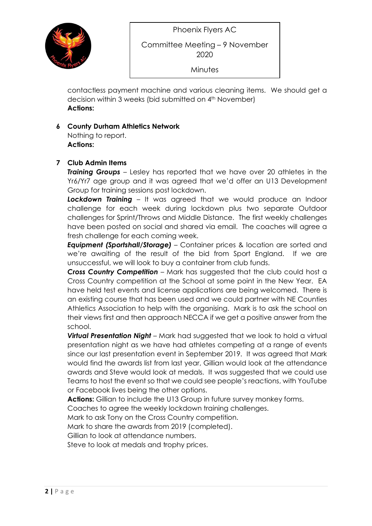

# Committee Meeting – 9 November 2020

**Minutes** 

contactless payment machine and various cleaning items. We should get a decision within 3 weeks (bid submitted on 4<sup>th</sup> November) Actions:

### 6 County Durham Athletics Network

Nothing to report. Actions:

#### 7 Club Admin Items

**Training Groups** – Lesley has reported that we have over 20 athletes in the Yr6/Yr7 age group and it was agreed that we'd offer an U13 Development Group for training sessions post lockdown.

**Lockdown Training** – It was agreed that we would produce an Indoor challenge for each week during lockdown plus two separate Outdoor challenges for Sprint/Throws and Middle Distance. The first weekly challenges have been posted on social and shared via email. The coaches will agree a fresh challenge for each coming week.

**Equipment (Sportshall/Storage)** – Container prices & location are sorted and we're awaiting of the result of the bid from Sport England. If we are unsuccessful, we will look to buy a container from club funds.

Cross Country Competition - Mark has suggested that the club could host a Cross Country competition at the School at some point in the New Year. EA have held test events and license applications are being welcomed. There is an existing course that has been used and we could partner with NE Counties Athletics Association to help with the organising. Mark is to ask the school on their views first and then approach NECCA if we get a positive answer from the school.

Virtual Presentation Night – Mark had suggested that we look to hold a virtual presentation night as we have had athletes competing at a range of events since our last presentation event in September 2019. It was agreed that Mark would find the awards list from last year, Gillian would look at the attendance awards and Steve would look at medals. It was suggested that we could use Teams to host the event so that we could see people's reactions, with YouTube or Facebook lives being the other options.

Actions: Gillian to include the U13 Group in future survey monkey forms.

Coaches to agree the weekly lockdown training challenges.

Mark to ask Tony on the Cross Country competition.

Mark to share the awards from 2019 (completed).

Gillian to look at attendance numbers.

Steve to look at medals and trophy prices.